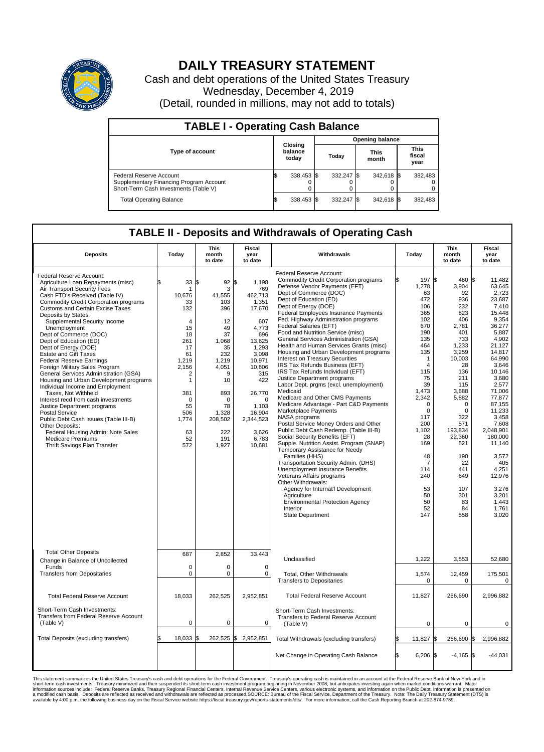

## **DAILY TREASURY STATEMENT**

Cash and debt operations of the United States Treasury Wednesday, December 4, 2019 (Detail, rounded in millions, may not add to totals)

| <b>TABLE I - Operating Cash Balance</b>                                                                     |    |                             |                        |            |  |                      |  |                               |  |
|-------------------------------------------------------------------------------------------------------------|----|-----------------------------|------------------------|------------|--|----------------------|--|-------------------------------|--|
|                                                                                                             |    |                             | <b>Opening balance</b> |            |  |                      |  |                               |  |
| <b>Type of account</b>                                                                                      |    | Closing<br>balance<br>today |                        | Today      |  | <b>This</b><br>month |  | <b>This</b><br>fiscal<br>year |  |
| Federal Reserve Account<br>Supplementary Financing Program Account<br>Short-Term Cash Investments (Table V) |    | 338,453 \$                  |                        | 332,247 \$ |  | 342,618 \$           |  | 382,483                       |  |
| <b>Total Operating Balance</b>                                                                              | ıа | 338,453 \$                  |                        | 332,247 \$ |  | 342,618 \$           |  | 382,483                       |  |

## **TABLE II - Deposits and Withdrawals of Operating Cash**

| <b>Deposits</b>                                                                                                                                                                                                                                                                                                                                                                                                                                                                                                                                                                                                                                                                                                                                                                                                                                                                              | Today                                                                                                                                                                                    | <b>This</b><br>month<br>to date                                                                                                                                             | Fiscal<br>Withdrawals<br>year<br>to date                                                                                                                                                                             |                                                                                                                                                                                                                                                                                                                                                                                                                                                                                                                                                                                                                                                                                                                                                                                                                                                                                                                                                                                                                                                                                                                                                                                                                                                                                              | Today                                                                                                                                                                                                                                                                                 | <b>This</b><br>month<br>to date                                                                                                                                                                                                                                   | <b>Fiscal</b><br>year<br>to date                                                                                                                                                                                                                                                                                                           |
|----------------------------------------------------------------------------------------------------------------------------------------------------------------------------------------------------------------------------------------------------------------------------------------------------------------------------------------------------------------------------------------------------------------------------------------------------------------------------------------------------------------------------------------------------------------------------------------------------------------------------------------------------------------------------------------------------------------------------------------------------------------------------------------------------------------------------------------------------------------------------------------------|------------------------------------------------------------------------------------------------------------------------------------------------------------------------------------------|-----------------------------------------------------------------------------------------------------------------------------------------------------------------------------|----------------------------------------------------------------------------------------------------------------------------------------------------------------------------------------------------------------------|----------------------------------------------------------------------------------------------------------------------------------------------------------------------------------------------------------------------------------------------------------------------------------------------------------------------------------------------------------------------------------------------------------------------------------------------------------------------------------------------------------------------------------------------------------------------------------------------------------------------------------------------------------------------------------------------------------------------------------------------------------------------------------------------------------------------------------------------------------------------------------------------------------------------------------------------------------------------------------------------------------------------------------------------------------------------------------------------------------------------------------------------------------------------------------------------------------------------------------------------------------------------------------------------|---------------------------------------------------------------------------------------------------------------------------------------------------------------------------------------------------------------------------------------------------------------------------------------|-------------------------------------------------------------------------------------------------------------------------------------------------------------------------------------------------------------------------------------------------------------------|--------------------------------------------------------------------------------------------------------------------------------------------------------------------------------------------------------------------------------------------------------------------------------------------------------------------------------------------|
| Federal Reserve Account:<br>Agriculture Loan Repayments (misc)<br>Air Transport Security Fees<br>Cash FTD's Received (Table IV)<br><b>Commodity Credit Corporation programs</b><br><b>Customs and Certain Excise Taxes</b><br>Deposits by States:<br>Supplemental Security Income<br>Unemployment<br>Dept of Commerce (DOC)<br>Dept of Education (ED)<br>Dept of Energy (DOE)<br><b>Estate and Gift Taxes</b><br><b>Federal Reserve Earnings</b><br>Foreign Military Sales Program<br>General Services Administration (GSA)<br>Housing and Urban Development programs<br>Individual Income and Employment<br>Taxes, Not Withheld<br>Interest recd from cash investments<br>Justice Department programs<br><b>Postal Service</b><br>Public Debt Cash Issues (Table III-B)<br>Other Deposits:<br>Federal Housing Admin: Note Sales<br><b>Medicare Premiums</b><br>Thrift Savings Plan Transfer | \$<br>33 S<br>10.676<br>33<br>132<br>$\overline{4}$<br>15<br>18<br>261<br>17<br>61<br>1,219<br>2,156<br>2<br>$\mathbf{1}$<br>381<br>$\mathbf 0$<br>55<br>506<br>1,774<br>63<br>52<br>572 | 92 \$<br>3<br>41.555<br>103<br>396<br>12<br>49<br>37<br>1.068<br>35<br>232<br>1,219<br>4,051<br>9<br>10<br>893<br>$\Omega$<br>78<br>1,328<br>208,502<br>222<br>191<br>1,927 | 1,198<br>769<br>462,713<br>1,351<br>17,670<br>607<br>4,773<br>696<br>13.625<br>1,293<br>3,098<br>10,971<br>10,606<br>315<br>422<br>26,770<br>$\mathbf 0$<br>1,103<br>16,904<br>2,344,523<br>3.626<br>6,783<br>10,681 | Federal Reserve Account:<br><b>Commodity Credit Corporation programs</b><br>Defense Vendor Payments (EFT)<br>Dept of Commerce (DOC)<br>Dept of Education (ED)<br>Dept of Energy (DOE)<br><b>Federal Employees Insurance Payments</b><br>Fed. Highway Administration programs<br>Federal Salaries (EFT)<br>Food and Nutrition Service (misc)<br>General Services Administration (GSA)<br>Health and Human Services Grants (misc)<br>Housing and Urban Development programs<br><b>Interest on Treasury Securities</b><br>IRS Tax Refunds Business (EFT)<br>IRS Tax Refunds Individual (EFT)<br>Justice Department programs<br>Labor Dept. prgms (excl. unemployment)<br>Medicaid<br>Medicare and Other CMS Payments<br>Medicare Advantage - Part C&D Payments<br>Marketplace Payments<br>NASA programs<br>Postal Service Money Orders and Other<br>Public Debt Cash Redemp. (Table III-B)<br>Social Security Benefits (EFT)<br>Supple. Nutrition Assist. Program (SNAP)<br>Temporary Assistance for Needy<br>Families (HHS)<br>Transportation Security Admin. (DHS)<br><b>Unemployment Insurance Benefits</b><br>Veterans Affairs programs<br>Other Withdrawals:<br>Agency for Internat'l Development<br>Agriculture<br>Environmental Protection Agency<br>Interior<br><b>State Department</b> | 197 \$<br>1,278<br>63<br>472<br>106<br>365<br>102<br>670<br>190<br>135<br>464<br>135<br>$\mathbf{1}$<br>$\overline{4}$<br>115<br>75<br>39<br>1,473<br>2,342<br>$\mathbf 0$<br>$\mathbf 0$<br>117<br>200<br>1,102<br>28<br>169<br>48<br>7<br>114<br>240<br>53<br>50<br>50<br>52<br>147 | 460 \$<br>3,904<br>92<br>936<br>232<br>823<br>406<br>2,781<br>401<br>733<br>1.233<br>3,259<br>10,003<br>28<br>136<br>211<br>115<br>3.688<br>5,882<br>0<br>0<br>322<br>571<br>193,834<br>22,360<br>521<br>190<br>22<br>441<br>649<br>107<br>301<br>83<br>84<br>558 | 11,482<br>63,645<br>2,723<br>23.687<br>7,410<br>15,448<br>9.354<br>36,277<br>5.887<br>4,902<br>21,127<br>14,817<br>64.990<br>3,646<br>10.146<br>3,680<br>2,577<br>71.006<br>77,877<br>87,155<br>11,233<br>3.458<br>7,608<br>2,048,901<br>180.000<br>11,140<br>3,572<br>405<br>4,251<br>12,976<br>3,276<br>3.201<br>1,443<br>1,761<br>3,020 |
| <b>Total Other Deposits</b><br>Change in Balance of Uncollected<br>Funds                                                                                                                                                                                                                                                                                                                                                                                                                                                                                                                                                                                                                                                                                                                                                                                                                     | 687<br>$\mathbf 0$                                                                                                                                                                       | 2.852<br>0                                                                                                                                                                  | 33,443<br>$\mathbf 0$                                                                                                                                                                                                | Unclassified                                                                                                                                                                                                                                                                                                                                                                                                                                                                                                                                                                                                                                                                                                                                                                                                                                                                                                                                                                                                                                                                                                                                                                                                                                                                                 | 1,222                                                                                                                                                                                                                                                                                 | 3,553                                                                                                                                                                                                                                                             | 52,680                                                                                                                                                                                                                                                                                                                                     |
| <b>Transfers from Depositaries</b>                                                                                                                                                                                                                                                                                                                                                                                                                                                                                                                                                                                                                                                                                                                                                                                                                                                           | $\Omega$                                                                                                                                                                                 | $\Omega$                                                                                                                                                                    | $\Omega$                                                                                                                                                                                                             | Total, Other Withdrawals<br><b>Transfers to Depositaries</b>                                                                                                                                                                                                                                                                                                                                                                                                                                                                                                                                                                                                                                                                                                                                                                                                                                                                                                                                                                                                                                                                                                                                                                                                                                 | 1,574<br>$\mathbf 0$                                                                                                                                                                                                                                                                  | 12,459<br>$\mathbf 0$                                                                                                                                                                                                                                             | 175,501<br>0                                                                                                                                                                                                                                                                                                                               |
| <b>Total Federal Reserve Account</b>                                                                                                                                                                                                                                                                                                                                                                                                                                                                                                                                                                                                                                                                                                                                                                                                                                                         | 18,033                                                                                                                                                                                   | 262,525                                                                                                                                                                     | 2,952,851                                                                                                                                                                                                            | <b>Total Federal Reserve Account</b>                                                                                                                                                                                                                                                                                                                                                                                                                                                                                                                                                                                                                                                                                                                                                                                                                                                                                                                                                                                                                                                                                                                                                                                                                                                         | 11,827                                                                                                                                                                                                                                                                                | 266,690                                                                                                                                                                                                                                                           | 2,996,882                                                                                                                                                                                                                                                                                                                                  |
| Short-Term Cash Investments:<br>Transfers from Federal Reserve Account<br>(Table V)                                                                                                                                                                                                                                                                                                                                                                                                                                                                                                                                                                                                                                                                                                                                                                                                          | $\mathbf 0$                                                                                                                                                                              | 0                                                                                                                                                                           | $\mathbf 0$                                                                                                                                                                                                          | Short-Term Cash Investments:<br>Transfers to Federal Reserve Account<br>(Table V)                                                                                                                                                                                                                                                                                                                                                                                                                                                                                                                                                                                                                                                                                                                                                                                                                                                                                                                                                                                                                                                                                                                                                                                                            |                                                                                                                                                                                                                                                                                       | $\mathbf 0$                                                                                                                                                                                                                                                       | $\mathbf 0$                                                                                                                                                                                                                                                                                                                                |
| Total Deposits (excluding transfers)                                                                                                                                                                                                                                                                                                                                                                                                                                                                                                                                                                                                                                                                                                                                                                                                                                                         | 18,033                                                                                                                                                                                   | l\$<br>262,525 \$                                                                                                                                                           | 2,952,851                                                                                                                                                                                                            | Total Withdrawals (excluding transfers)                                                                                                                                                                                                                                                                                                                                                                                                                                                                                                                                                                                                                                                                                                                                                                                                                                                                                                                                                                                                                                                                                                                                                                                                                                                      | 11,827                                                                                                                                                                                                                                                                                | 266,690                                                                                                                                                                                                                                                           | l\$<br>2,996,882                                                                                                                                                                                                                                                                                                                           |
|                                                                                                                                                                                                                                                                                                                                                                                                                                                                                                                                                                                                                                                                                                                                                                                                                                                                                              |                                                                                                                                                                                          |                                                                                                                                                                             |                                                                                                                                                                                                                      | Net Change in Operating Cash Balance                                                                                                                                                                                                                                                                                                                                                                                                                                                                                                                                                                                                                                                                                                                                                                                                                                                                                                                                                                                                                                                                                                                                                                                                                                                         | l\$<br>$6.206$ $\sqrt{5}$                                                                                                                                                                                                                                                             | $-4.165$ \\$                                                                                                                                                                                                                                                      | $-44.031$                                                                                                                                                                                                                                                                                                                                  |

This statement summarizes the United States Treasury's cash and debt operations for the Federal Government. Treasury soperating in November 2008, but anticiarded in a cocount at the Federal metaformation sources investment